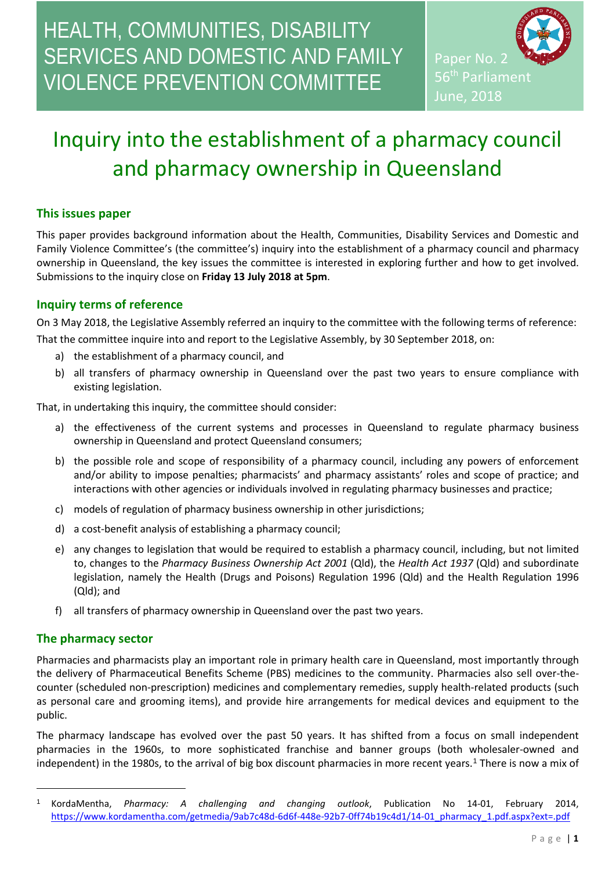# HEALTH, COMMUNITIES, DISABILITY SERVICES AND DOMESTIC AND FAMILY VIOLENCE PREVENTION COMMITTEE

Paper No. 2 56<sup>th</sup> Parliament June, 2018

# Inquiry into the establishment of a pharmacy council and pharmacy ownership in Queensland

## **This issues paper**

This paper provides background information about the Health, Communities, Disability Services and Domestic and Family Violence Committee's (the committee's) inquiry into the establishment of a pharmacy council and pharmacy ownership in Queensland, the key issues the committee is interested in exploring further and how to get involved. Submissions to the inquiry close on **Friday 13 July 2018 at 5pm**.

# **Inquiry terms of reference**

On 3 May 2018, the Legislative Assembly referred an inquiry to the committee with the following terms of reference: That the committee inquire into and report to the Legislative Assembly, by 30 September 2018, on:

- a) the establishment of a pharmacy council, and
- b) all transfers of pharmacy ownership in Queensland over the past two years to ensure compliance with existing legislation.

That, in undertaking this inquiry, the committee should consider:

- a) the effectiveness of the current systems and processes in Queensland to regulate pharmacy business ownership in Queensland and protect Queensland consumers;
- b) the possible role and scope of responsibility of a pharmacy council, including any powers of enforcement and/or ability to impose penalties; pharmacists' and pharmacy assistants' roles and scope of practice; and interactions with other agencies or individuals involved in regulating pharmacy businesses and practice;
- c) models of regulation of pharmacy business ownership in other jurisdictions;
- d) a cost-benefit analysis of establishing a pharmacy council;
- e) any changes to legislation that would be required to establish a pharmacy council, including, but not limited to, changes to the *Pharmacy Business Ownership Act 2001* (Qld), the *Health Act 1937* (Qld) and subordinate legislation, namely the Health (Drugs and Poisons) Regulation 1996 (Qld) and the Health Regulation 1996 (Qld); and
- f) all transfers of pharmacy ownership in Queensland over the past two years.

## **The pharmacy sector**

l

Pharmacies and pharmacists play an important role in primary health care in Queensland, most importantly through the delivery of Pharmaceutical Benefits Scheme (PBS) medicines to the community. Pharmacies also sell over-thecounter (scheduled non-prescription) medicines and complementary remedies, supply health-related products (such as personal care and grooming items), and provide hire arrangements for medical devices and equipment to the public.

The pharmacy landscape has evolved over the past 50 years. It has shifted from a focus on small independent pharmacies in the 1960s, to more sophisticated franchise and banner groups (both wholesaler-owned and independent) in the 1980s, to the arrival of big box discount pharmacies in more recent years. [1](#page-0-0) There is now a mix of

<span id="page-0-0"></span><sup>1</sup> KordaMentha, *Pharmacy: A challenging and changing outlook*, Publication No 14-01, February 2014, [https://www.kordamentha.com/getmedia/9ab7c48d-6d6f-448e-92b7-0ff74b19c4d1/14-01\\_pharmacy\\_1.pdf.aspx?ext=.pdf](https://www.kordamentha.com/getmedia/9ab7c48d-6d6f-448e-92b7-0ff74b19c4d1/14-01_pharmacy_1.pdf.aspx?ext=.pdf)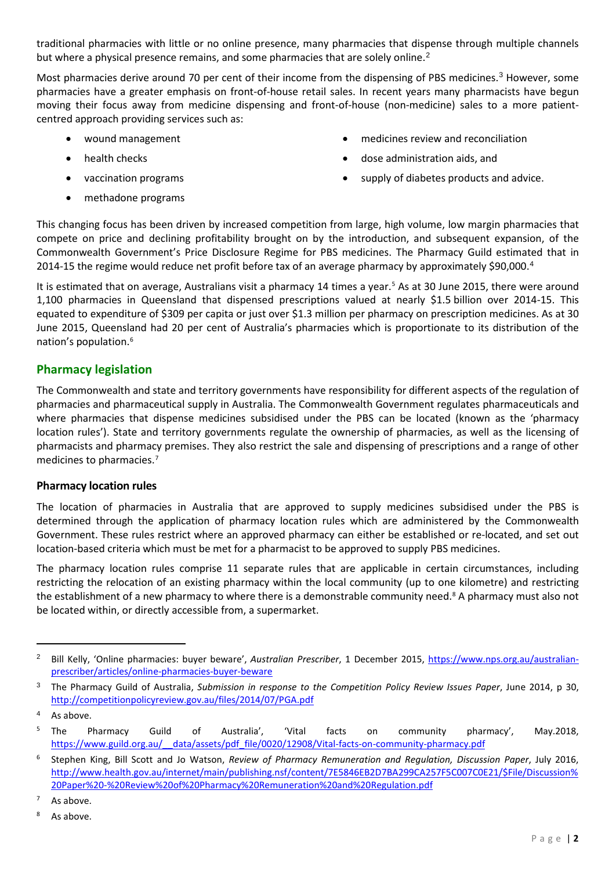traditional pharmacies with little or no online presence, many pharmacies that dispense through multiple channels but where a physical presence remains, and some pharmacies that are solely online.<sup>[2](#page-1-0)</sup>

Most pharmacies derive around 70 per cent of their income from the dispensing of PBS medicines.<sup>[3](#page-1-1)</sup> However, some pharmacies have a greater emphasis on front-of-house retail sales. In recent years many pharmacists have begun moving their focus away from medicine dispensing and front-of-house (non-medicine) sales to a more patientcentred approach providing services such as:

- 
- 
- 
- methadone programs
- wound management medicines review and reconciliation
- health checks dose administration aids, and
	- vaccination programs **•** supply of diabetes products and advice.

This changing focus has been driven by increased competition from large, high volume, low margin pharmacies that compete on price and declining profitability brought on by the introduction, and subsequent expansion, of the Commonwealth Government's Price Disclosure Regime for PBS medicines. The Pharmacy Guild estimated that in 2014-15 the regime would reduce net profit before tax of an average pharmacy by approximately \$90,000.[4](#page-1-2)

It is estimated that on average, Australians visit a pharmacy 14 times a year.<sup>[5](#page-1-3)</sup> As at 30 June 2015, there were around 1,100 pharmacies in Queensland that dispensed prescriptions valued at nearly \$1.5 billion over 2014-15. This equated to expenditure of \$309 per capita or just over \$1.3 million per pharmacy on prescription medicines. As at 30 June 2015, Queensland had 20 per cent of Australia's pharmacies which is proportionate to its distribution of the nation's population.[6](#page-1-4)

# **Pharmacy legislation**

The Commonwealth and state and territory governments have responsibility for different aspects of the regulation of pharmacies and pharmaceutical supply in Australia. The Commonwealth Government regulates pharmaceuticals and where pharmacies that dispense medicines subsidised under the PBS can be located (known as the 'pharmacy location rules'). State and territory governments regulate the ownership of pharmacies, as well as the licensing of pharmacists and pharmacy premises. They also restrict the sale and dispensing of prescriptions and a range of other medicines to pharmacies.<sup>[7](#page-1-5)</sup>

## **Pharmacy location rules**

The location of pharmacies in Australia that are approved to supply medicines subsidised under the PBS is determined through the application of pharmacy location rules which are administered by the Commonwealth Government. These rules restrict where an approved pharmacy can either be established or re-located, and set out location-based criteria which must be met for a pharmacist to be approved to supply PBS medicines.

The pharmacy location rules comprise 11 separate rules that are applicable in certain circumstances, including restricting the relocation of an existing pharmacy within the local community (up to one kilometre) and restricting the establishment of a new pharmacy to where there is a demonstrable community need.<sup>[8](#page-1-6)</sup> A pharmacy must also not be located within, or directly accessible from, a supermarket.

 $\overline{a}$ 

<span id="page-1-0"></span><sup>2</sup> Bill Kelly, 'Online pharmacies: buyer beware', *Australian Prescriber*, 1 December 2015, [https://www.nps.org.au/australian](https://www.nps.org.au/australian-prescriber/articles/online-pharmacies-buyer-beware)[prescriber/articles/online-pharmacies-buyer-beware](https://www.nps.org.au/australian-prescriber/articles/online-pharmacies-buyer-beware)

<span id="page-1-1"></span><sup>3</sup> The Pharmacy Guild of Australia, *Submission in response to the Competition Policy Review Issues Paper*, June 2014, p 30, <http://competitionpolicyreview.gov.au/files/2014/07/PGA.pdf>

<span id="page-1-2"></span><sup>4</sup> As above.

<span id="page-1-3"></span><sup>&</sup>lt;sup>5</sup> The Pharmacy Guild of Australia', 'Vital facts on community pharmacy', May.2018, https://www.guild.org.au/ data/assets/pdf\_file/0020/12908/Vital-facts-on-community-pharmacy.pdf

<span id="page-1-4"></span><sup>6</sup> Stephen King, Bill Scott and Jo Watson, *Review of Pharmacy Remuneration and Regulation, Discussion Paper*, July 2016, [http://www.health.gov.au/internet/main/publishing.nsf/content/7E5846EB2D7BA299CA257F5C007C0E21/\\$File/Discussion%](http://www.health.gov.au/internet/main/publishing.nsf/content/7E5846EB2D7BA299CA257F5C007C0E21/$File/Discussion%20Paper%20-%20Review%20of%20Pharmacy%20Remuneration%20and%20Regulation.pdf) [20Paper%20-%20Review%20of%20Pharmacy%20Remuneration%20and%20Regulation.pdf](http://www.health.gov.au/internet/main/publishing.nsf/content/7E5846EB2D7BA299CA257F5C007C0E21/$File/Discussion%20Paper%20-%20Review%20of%20Pharmacy%20Remuneration%20and%20Regulation.pdf)

<span id="page-1-5"></span> $7$  As above.

<span id="page-1-6"></span>As above.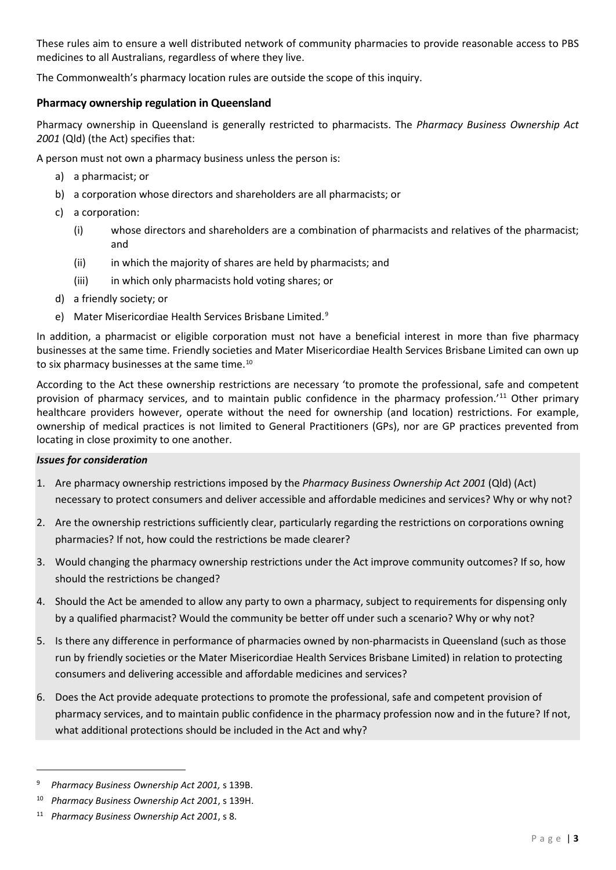These rules aim to ensure a well distributed network of community pharmacies to provide reasonable access to PBS medicines to all Australians, regardless of where they live.

The Commonwealth's pharmacy location rules are outside the scope of this inquiry.

## **Pharmacy ownership regulation in Queensland**

Pharmacy ownership in Queensland is generally restricted to pharmacists. The *Pharmacy Business Ownership Act 2001* (Qld) (the Act) specifies that:

A person must not own a pharmacy business unless the person is:

- a) a pharmacist; or
- b) a corporation whose directors and shareholders are all pharmacists; or
- c) a corporation:
	- (i) whose directors and shareholders are a combination of pharmacists and relatives of the pharmacist; and
	- (ii) in which the majority of shares are held by pharmacists; and
	- (iii) in which only pharmacists hold voting shares; or
- d) a friendly society; or
- e) Mater Misericordiae Health Services Brisbane Limited. [9](#page-2-0)

In addition, a pharmacist or eligible corporation must not have a beneficial interest in more than five pharmacy businesses at the same time. Friendly societies and Mater Misericordiae Health Services Brisbane Limited can own up to six pharmacy businesses at the same time.<sup>[10](#page-2-1)</sup>

According to the Act these ownership restrictions are necessary 'to promote the professional, safe and competent provision of pharmacy services, and to maintain public confidence in the pharmacy profession.'[11](#page-2-2) Other primary healthcare providers however, operate without the need for ownership (and location) restrictions. For example, ownership of medical practices is not limited to General Practitioners (GPs), nor are GP practices prevented from locating in close proximity to one another.

#### *Issues for consideration*

- 1. Are pharmacy ownership restrictions imposed by the *Pharmacy Business Ownership Act 2001* (Qld) (Act) necessary to protect consumers and deliver accessible and affordable medicines and services? Why or why not?
- 2. Are the ownership restrictions sufficiently clear, particularly regarding the restrictions on corporations owning pharmacies? If not, how could the restrictions be made clearer?
- 3. Would changing the pharmacy ownership restrictions under the Act improve community outcomes? If so, how should the restrictions be changed?
- 4. Should the Act be amended to allow any party to own a pharmacy, subject to requirements for dispensing only by a qualified pharmacist? Would the community be better off under such a scenario? Why or why not?
- 5. Is there any difference in performance of pharmacies owned by non-pharmacists in Queensland (such as those run by friendly societies or the Mater Misericordiae Health Services Brisbane Limited) in relation to protecting consumers and delivering accessible and affordable medicines and services?
- 6. Does the Act provide adequate protections to promote the professional, safe and competent provision of pharmacy services, and to maintain public confidence in the pharmacy profession now and in the future? If not, what additional protections should be included in the Act and why?

 $\overline{\phantom{a}}$ 

<span id="page-2-0"></span><sup>9</sup> *Pharmacy Business Ownership Act 2001,* s 139B.

<span id="page-2-1"></span><sup>10</sup> *Pharmacy Business Ownership Act 2001*, s 139H.

<span id="page-2-2"></span><sup>11</sup> *Pharmacy Business Ownership Act 2001*, s 8.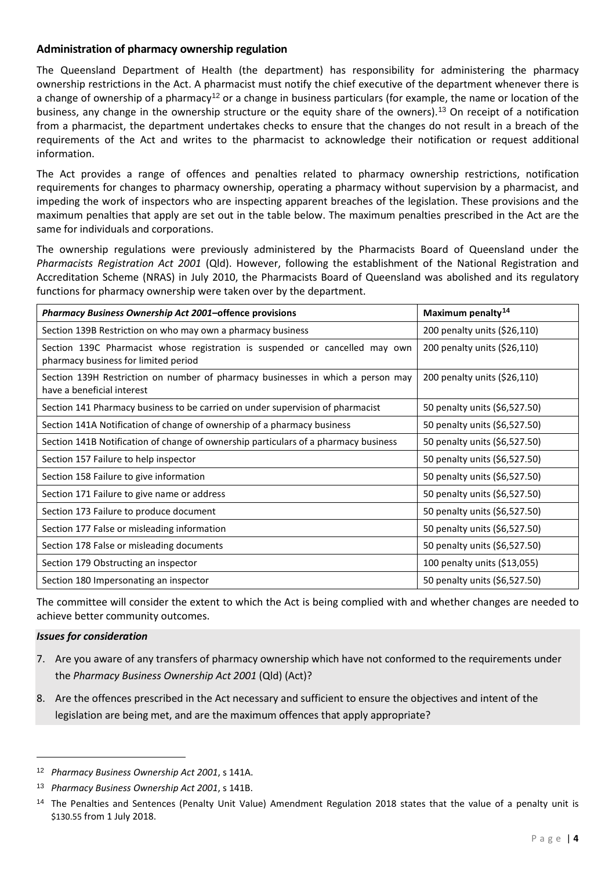## **Administration of pharmacy ownership regulation**

The Queensland Department of Health (the department) has responsibility for administering the pharmacy ownership restrictions in the Act. A pharmacist must notify the chief executive of the department whenever there is a change of ownership of a pharmacy<sup>[12](#page-3-0)</sup> or a change in business particulars (for example, the name or location of the business, any change in the ownership structure or the equity share of the owners). [13](#page-3-1) On receipt of a notification from a pharmacist, the department undertakes checks to ensure that the changes do not result in a breach of the requirements of the Act and writes to the pharmacist to acknowledge their notification or request additional information.

The Act provides a range of offences and penalties related to pharmacy ownership restrictions, notification requirements for changes to pharmacy ownership, operating a pharmacy without supervision by a pharmacist, and impeding the work of inspectors who are inspecting apparent breaches of the legislation. These provisions and the maximum penalties that apply are set out in the table below. The maximum penalties prescribed in the Act are the same for individuals and corporations.

The ownership regulations were previously administered by the Pharmacists Board of Queensland under the *Pharmacists Registration Act 2001* (Qld). However, following the establishment of the National Registration and Accreditation Scheme (NRAS) in July 2010, the Pharmacists Board of Queensland was abolished and its regulatory functions for pharmacy ownership were taken over by the department.

| Pharmacy Business Ownership Act 2001-offence provisions                                                              | Maximum penalty <sup>14</sup> |
|----------------------------------------------------------------------------------------------------------------------|-------------------------------|
| Section 139B Restriction on who may own a pharmacy business                                                          | 200 penalty units (\$26,110)  |
| Section 139C Pharmacist whose registration is suspended or cancelled may own<br>pharmacy business for limited period | 200 penalty units (\$26,110)  |
| Section 139H Restriction on number of pharmacy businesses in which a person may<br>have a beneficial interest        | 200 penalty units (\$26,110)  |
| Section 141 Pharmacy business to be carried on under supervision of pharmacist                                       | 50 penalty units (\$6,527.50) |
| Section 141A Notification of change of ownership of a pharmacy business                                              | 50 penalty units (\$6,527.50) |
| Section 141B Notification of change of ownership particulars of a pharmacy business                                  | 50 penalty units (\$6,527.50) |
| Section 157 Failure to help inspector                                                                                | 50 penalty units (\$6,527.50) |
| Section 158 Failure to give information                                                                              | 50 penalty units (\$6,527.50) |
| Section 171 Failure to give name or address                                                                          | 50 penalty units (\$6,527.50) |
| Section 173 Failure to produce document                                                                              | 50 penalty units (\$6,527.50) |
| Section 177 False or misleading information                                                                          | 50 penalty units (\$6,527.50) |
| Section 178 False or misleading documents                                                                            | 50 penalty units (\$6,527.50) |
| Section 179 Obstructing an inspector                                                                                 | 100 penalty units (\$13,055)  |
| Section 180 Impersonating an inspector                                                                               | 50 penalty units (\$6,527.50) |

The committee will consider the extent to which the Act is being complied with and whether changes are needed to achieve better community outcomes.

## *Issues for consideration*

l

- 7. Are you aware of any transfers of pharmacy ownership which have not conformed to the requirements under the *Pharmacy Business Ownership Act 2001* (Qld) (Act)?
- 8. Are the offences prescribed in the Act necessary and sufficient to ensure the objectives and intent of the legislation are being met, and are the maximum offences that apply appropriate?

<span id="page-3-0"></span><sup>12</sup> *Pharmacy Business Ownership Act 2001*, s 141A.

<span id="page-3-1"></span><sup>13</sup> *Pharmacy Business Ownership Act 2001*, s 141B.

<span id="page-3-2"></span><sup>&</sup>lt;sup>14</sup> The Penalties and Sentences (Penalty Unit Value) Amendment Regulation 2018 states that the value of a penalty unit is \$130.55 from 1 July 2018.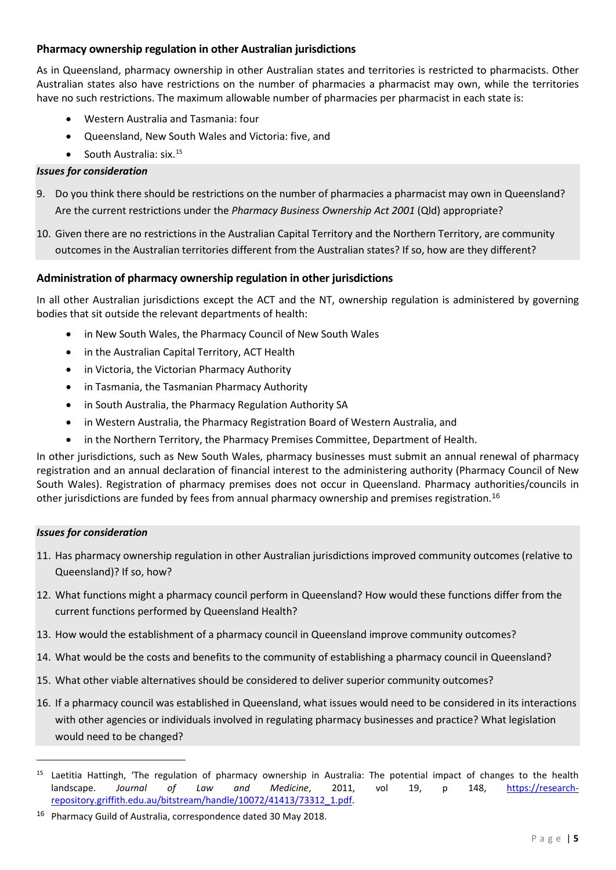## **Pharmacy ownership regulation in other Australian jurisdictions**

As in Queensland, pharmacy ownership in other Australian states and territories is restricted to pharmacists. Other Australian states also have restrictions on the number of pharmacies a pharmacist may own, while the territories have no such restrictions. The maximum allowable number of pharmacies per pharmacist in each state is:

- Western Australia and Tasmania: four
- Queensland, New South Wales and Victoria: five, and
- South Australia:  $six.^{15}$  $six.^{15}$  $six.^{15}$

#### *Issues for consideration*

- 9. Do you think there should be restrictions on the number of pharmacies a pharmacist may own in Queensland? Are the current restrictions under the *Pharmacy Business Ownership Act 2001* (Qld) appropriate?
- 10. Given there are no restrictions in the Australian Capital Territory and the Northern Territory, are community outcomes in the Australian territories different from the Australian states? If so, how are they different?

#### **Administration of pharmacy ownership regulation in other jurisdictions**

In all other Australian jurisdictions except the ACT and the NT, ownership regulation is administered by governing bodies that sit outside the relevant departments of health:

- in New South Wales, the Pharmacy Council of New South Wales
- in the Australian Capital Territory, ACT Health
- in Victoria, the Victorian Pharmacy Authority
- in Tasmania, the Tasmanian Pharmacy Authority
- in South Australia, the Pharmacy Regulation Authority SA
- in Western Australia, the Pharmacy Registration Board of Western Australia, and
- in the Northern Territory, the Pharmacy Premises Committee, Department of Health.

In other jurisdictions, such as New South Wales, pharmacy businesses must submit an annual renewal of pharmacy registration and an annual declaration of financial interest to the administering authority (Pharmacy Council of New South Wales). Registration of pharmacy premises does not occur in Queensland. Pharmacy authorities/councils in other jurisdictions are funded by fees from annual pharmacy ownership and premises registration. [16](#page-4-1)

#### *Issues for consideration*

l

- 11. Has pharmacy ownership regulation in other Australian jurisdictions improved community outcomes (relative to Queensland)? If so, how?
- 12. What functions might a pharmacy council perform in Queensland? How would these functions differ from the current functions performed by Queensland Health?
- 13. How would the establishment of a pharmacy council in Queensland improve community outcomes?
- 14. What would be the costs and benefits to the community of establishing a pharmacy council in Queensland?
- 15. What other viable alternatives should be considered to deliver superior community outcomes?
- 16. If a pharmacy council was established in Queensland, what issues would need to be considered in its interactions with other agencies or individuals involved in regulating pharmacy businesses and practice? What legislation would need to be changed?

<span id="page-4-0"></span><sup>&</sup>lt;sup>15</sup> Laetitia Hattingh, 'The regulation of pharmacy ownership in Australia: The potential impact of changes to the health landscape. *Journal of Law and Medicine*, 2011, vol 19, p 148, [https://research](https://research-repository.griffith.edu.au/bitstream/handle/10072/41413/73312_1.pdf)[repository.griffith.edu.au/bitstream/handle/10072/41413/73312\\_1.pdf.](https://research-repository.griffith.edu.au/bitstream/handle/10072/41413/73312_1.pdf)

<span id="page-4-1"></span><sup>&</sup>lt;sup>16</sup> Pharmacy Guild of Australia, correspondence dated 30 May 2018.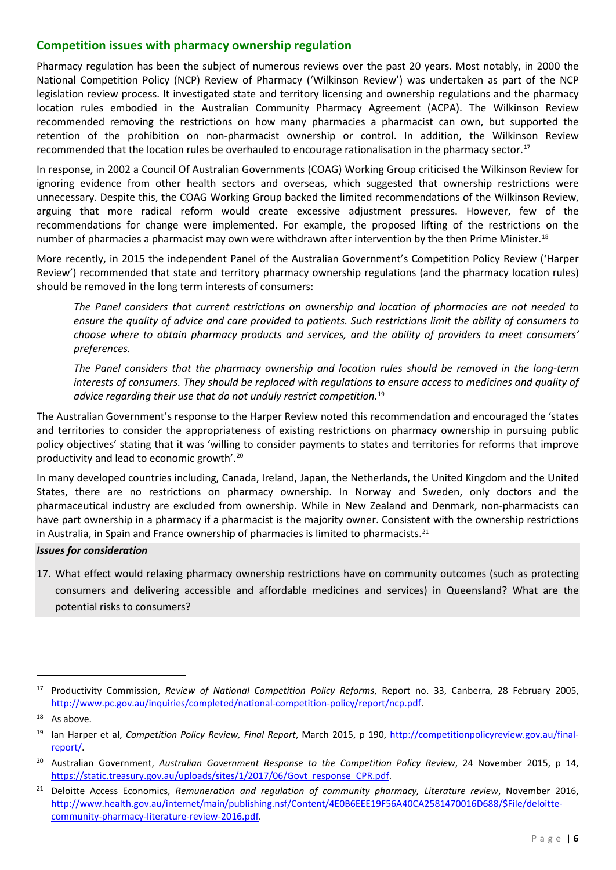# **Competition issues with pharmacy ownership regulation**

Pharmacy regulation has been the subject of numerous reviews over the past 20 years. Most notably, in 2000 the National Competition Policy (NCP) Review of Pharmacy ('Wilkinson Review') was undertaken as part of the NCP legislation review process. It investigated state and territory licensing and ownership regulations and the pharmacy location rules embodied in the Australian Community Pharmacy Agreement (ACPA). The Wilkinson Review recommended removing the restrictions on how many pharmacies a pharmacist can own, but supported the retention of the prohibition on non-pharmacist ownership or control. In addition, the Wilkinson Review recommended that the location rules be overhauled to encourage rationalisation in the pharmacy sector.<sup>[17](#page-5-0)</sup>

In response, in 2002 a Council Of Australian Governments (COAG) Working Group criticised the Wilkinson Review for ignoring evidence from other health sectors and overseas, which suggested that ownership restrictions were unnecessary. Despite this, the COAG Working Group backed the limited recommendations of the Wilkinson Review, arguing that more radical reform would create excessive adjustment pressures. However, few of the recommendations for change were implemented. For example, the proposed lifting of the restrictions on the number of pharmacies a pharmacist may own were withdrawn after intervention by the then Prime Minister.<sup>[18](#page-5-1)</sup>

More recently, in 2015 the independent Panel of the Australian Government's Competition Policy Review ('Harper Review') recommended that state and territory pharmacy ownership regulations (and the pharmacy location rules) should be removed in the long term interests of consumers:

*The Panel considers that current restrictions on ownership and location of pharmacies are not needed to ensure the quality of advice and care provided to patients. Such restrictions limit the ability of consumers to choose where to obtain pharmacy products and services, and the ability of providers to meet consumers' preferences.*

*The Panel considers that the pharmacy ownership and location rules should be removed in the long-term interests of consumers. They should be replaced with regulations to ensure access to medicines and quality of advice regarding their use that do not unduly restrict competition.*[19](#page-5-2)

The Australian Government's response to the Harper Review noted this recommendation and encouraged the 'states and territories to consider the appropriateness of existing restrictions on pharmacy ownership in pursuing public policy objectives' stating that it was 'willing to consider payments to states and territories for reforms that improve productivity and lead to economic growth'.[20](#page-5-3)

In many developed countries including, Canada, Ireland, Japan, the Netherlands, the United Kingdom and the United States, there are no restrictions on pharmacy ownership. In Norway and Sweden, only doctors and the pharmaceutical industry are excluded from ownership. While in New Zealand and Denmark, non-pharmacists can have part ownership in a pharmacy if a pharmacist is the majority owner. Consistent with the ownership restrictions in Australia, in Spain and France ownership of pharmacies is limited to pharmacists. $^{21}$  $^{21}$  $^{21}$ 

#### *Issues for consideration*

17. What effect would relaxing pharmacy ownership restrictions have on community outcomes (such as protecting consumers and delivering accessible and affordable medicines and services) in Queensland? What are the potential risks to consumers?

 $\overline{\phantom{a}}$ 

<span id="page-5-0"></span><sup>17</sup> Productivity Commission, *Review of National Competition Policy Reforms*, Report no. 33, Canberra, 28 February 2005, [http://www.pc.gov.au/inquiries/completed/national-competition-policy/report/ncp.pdf.](http://www.pc.gov.au/inquiries/completed/national-competition-policy/report/ncp.pdf)

<span id="page-5-1"></span> $18$  As above.

<span id="page-5-2"></span><sup>19</sup> Ian Harper et al, *Competition Policy Review, Final Report*, March 2015, p 190, [http://competitionpolicyreview.gov.au/final](http://competitionpolicyreview.gov.au/final-report/)[report/.](http://competitionpolicyreview.gov.au/final-report/)

<span id="page-5-3"></span><sup>20</sup> Australian Government, *Australian Government Response to the Competition Policy Review*, 24 November 2015, p 14, [https://static.treasury.gov.au/uploads/sites/1/2017/06/Govt\\_response\\_CPR.pdf.](https://static.treasury.gov.au/uploads/sites/1/2017/06/Govt_response_CPR.pdf)

<span id="page-5-4"></span><sup>21</sup> Deloitte Access Economics, *Remuneration and regulation of community pharmacy, Literature review*, November 2016, [http://www.health.gov.au/internet/main/publishing.nsf/Content/4E0B6EEE19F56A40CA2581470016D688/\\$File/deloitte](http://www.health.gov.au/internet/main/publishing.nsf/Content/4E0B6EEE19F56A40CA2581470016D688/$File/deloitte-community-pharmacy-literature-review-2016.pdf)[community-pharmacy-literature-review-2016.pdf.](http://www.health.gov.au/internet/main/publishing.nsf/Content/4E0B6EEE19F56A40CA2581470016D688/$File/deloitte-community-pharmacy-literature-review-2016.pdf)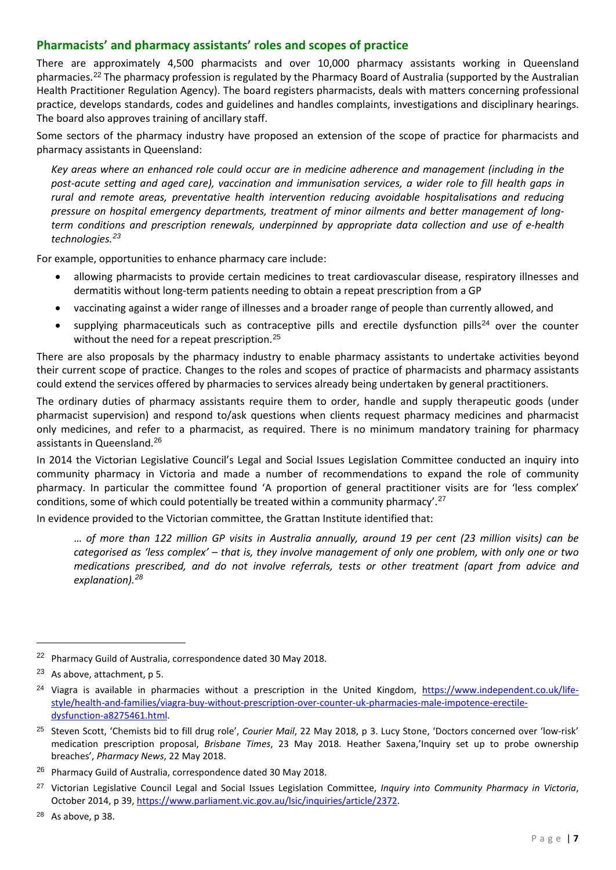# **Pharmacists' and pharmacy assistants' roles and scopes of practice**

There are approximately 4,500 pharmacists and over 10,000 pharmacy assistants working in Queensland pharmacies.[22](#page-6-0) The pharmacy profession is regulated by the Pharmacy Board of Australia (supported by the Australian Health Practitioner Regulation Agency). The board registers pharmacists, deals with matters concerning professional practice, develops standards, codes and guidelines and handles complaints, investigations and disciplinary hearings. The board also approves training of ancillary staff.

Some sectors of the pharmacy industry have proposed an extension of the scope of practice for pharmacists and pharmacy assistants in Queensland:

*Key areas where an enhanced role could occur are in medicine adherence and management (including in the post-acute setting and aged care), vaccination and immunisation services, a wider role to fill health gaps in rural and remote areas, preventative health intervention reducing avoidable hospitalisations and reducing pressure on hospital emergency departments, treatment of minor ailments and better management of longterm conditions and prescription renewals, underpinned by appropriate data collection and use of e-health technologies.[23](#page-6-1)*

For example, opportunities to enhance pharmacy care include:

- allowing pharmacists to provide certain medicines to treat cardiovascular disease, respiratory illnesses and dermatitis without long-term patients needing to obtain a repeat prescription from a GP
- vaccinating against a wider range of illnesses and a broader range of people than currently allowed, and
- supplying pharmaceuticals such as contraceptive pills and erectile dysfunction pills<sup>[24](#page-6-2)</sup> over the counter without the need for a repeat prescription.<sup>[25](#page-6-3)</sup>

There are also proposals by the pharmacy industry to enable pharmacy assistants to undertake activities beyond their current scope of practice. Changes to the roles and scopes of practice of pharmacists and pharmacy assistants could extend the services offered by pharmacies to services already being undertaken by general practitioners.

The ordinary duties of pharmacy assistants require them to order, handle and supply therapeutic goods (under pharmacist supervision) and respond to/ask questions when clients request pharmacy medicines and pharmacist only medicines, and refer to a pharmacist, as required. There is no minimum mandatory training for pharmacy assistants in Queensland.[26](#page-6-4)

In 2014 the Victorian Legislative Council's Legal and Social Issues Legislation Committee conducted an inquiry into community pharmacy in Victoria and made a number of recommendations to expand the role of community pharmacy. In particular the committee found 'A proportion of general practitioner visits are for 'less complex' conditions, some of which could potentially be treated within a community pharmacy'.<sup>[27](#page-6-5)</sup>

In evidence provided to the Victorian committee, the Grattan Institute identified that:

… *of more than 122 million GP visits in Australia annually, around 19 per cent (23 million visits) can be categorised as 'less complex' – that is, they involve management of only one problem, with only one or two medications prescribed, and do not involve referrals, tests or other treatment (apart from advice and explanation). [28](#page-6-6)*

l

<span id="page-6-0"></span><sup>22</sup> Pharmacy Guild of Australia, correspondence dated 30 May 2018.

<span id="page-6-1"></span><sup>23</sup> As above, attachment, p 5.

<span id="page-6-2"></span><sup>&</sup>lt;sup>24</sup> Viagra is available in pharmacies without a prescription in the United Kingdom, [https://www.independent.co.uk/life](https://www.independent.co.uk/life-style/health-and-families/viagra-buy-without-prescription-over-counter-uk-pharmacies-male-impotence-erectile-dysfunction-a8275461.html)[style/health-and-families/viagra-buy-without-prescription-over-counter-uk-pharmacies-male-impotence-erectile](https://www.independent.co.uk/life-style/health-and-families/viagra-buy-without-prescription-over-counter-uk-pharmacies-male-impotence-erectile-dysfunction-a8275461.html)[dysfunction-a8275461.html.](https://www.independent.co.uk/life-style/health-and-families/viagra-buy-without-prescription-over-counter-uk-pharmacies-male-impotence-erectile-dysfunction-a8275461.html)

<span id="page-6-3"></span><sup>25</sup> Steven Scott, 'Chemists bid to fill drug role', *Courier Mail*, 22 May 2018, p 3. Lucy Stone, 'Doctors concerned over 'low-risk' medication prescription proposal, *Brisbane Times*, 23 May 2018. Heather Saxena,'Inquiry set up to probe ownership breaches', *Pharmacy News*, 22 May 2018.

<span id="page-6-4"></span><sup>&</sup>lt;sup>26</sup> Pharmacy Guild of Australia, correspondence dated 30 May 2018.

<span id="page-6-5"></span><sup>27</sup> Victorian Legislative Council Legal and Social Issues Legislation Committee, *Inquiry into Community Pharmacy in Victoria*, October 2014, p 39[, https://www.parliament.vic.gov.au/lsic/inquiries/article/2372.](https://www.parliament.vic.gov.au/lsic/inquiries/article/2372)

<span id="page-6-6"></span> $28$  As above, p 38.